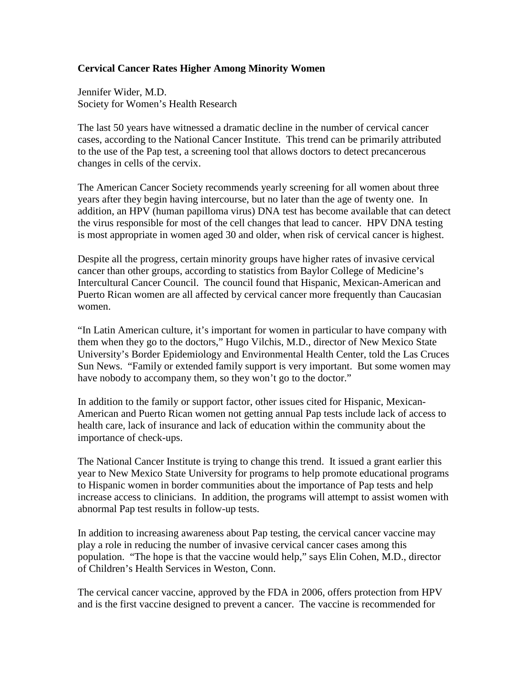## **Cervical Cancer Rates Higher Among Minority Women**

Jennifer Wider, M.D. Society for Women's Health Research

The last 50 years have witnessed a dramatic decline in the number of cervical cancer cases, according to the National Cancer Institute. This trend can be primarily attributed to the use of the Pap test, a screening tool that allows doctors to detect precancerous changes in cells of the cervix.

The American Cancer Society recommends yearly screening for all women about three years after they begin having intercourse, but no later than the age of twenty one. In addition, an HPV (human papilloma virus) DNA test has become available that can detect the virus responsible for most of the cell changes that lead to cancer. HPV DNA testing is most appropriate in women aged 30 and older, when risk of cervical cancer is highest.

Despite all the progress, certain minority groups have higher rates of invasive cervical cancer than other groups, according to statistics from Baylor College of Medicine's Intercultural Cancer Council. The council found that Hispanic, Mexican-American and Puerto Rican women are all affected by cervical cancer more frequently than Caucasian women.

"In Latin American culture, it's important for women in particular to have company with them when they go to the doctors," Hugo Vilchis, M.D., director of New Mexico State University's Border Epidemiology and Environmental Health Center, told the Las Cruces Sun News. "Family or extended family support is very important. But some women may have nobody to accompany them, so they won't go to the doctor."

In addition to the family or support factor, other issues cited for Hispanic, Mexican-American and Puerto Rican women not getting annual Pap tests include lack of access to health care, lack of insurance and lack of education within the community about the importance of check-ups.

The National Cancer Institute is trying to change this trend. It issued a grant earlier this year to New Mexico State University for programs to help promote educational programs to Hispanic women in border communities about the importance of Pap tests and help increase access to clinicians. In addition, the programs will attempt to assist women with abnormal Pap test results in follow-up tests.

In addition to increasing awareness about Pap testing, the cervical cancer vaccine may play a role in reducing the number of invasive cervical cancer cases among this population. "The hope is that the vaccine would help," says Elin Cohen, M.D., director of Children's Health Services in Weston, Conn.

The cervical cancer vaccine, approved by the FDA in 2006, offers protection from HPV and is the first vaccine designed to prevent a cancer. The vaccine is recommended for